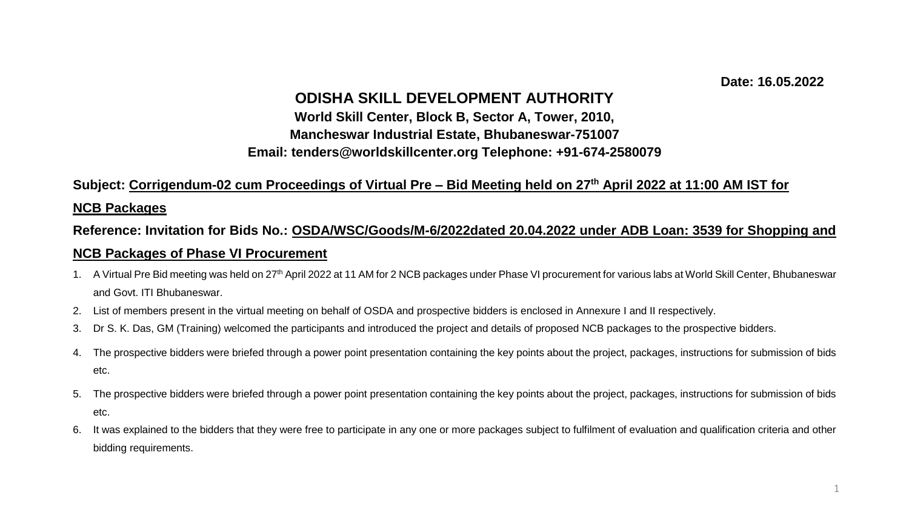#### **Date: 16.05.2022**

### **ODISHA SKILL DEVELOPMENT AUTHORITY**

## **World Skill Center, Block B, Sector A, Tower, 2010, Mancheswar Industrial Estate, Bhubaneswar-751007 Email: tenders@worldskillcenter.org Telephone: +91-674-2580079**

#### **Subject: Corrigendum-02 cum Proceedings of Virtual Pre – Bid Meeting held on 27th April 2022 at 11:00 AM IST for**

#### **NCB Packages**

# **Reference: Invitation for Bids No.: OSDA/WSC/Goods/M-6/2022dated 20.04.2022 under ADB Loan: 3539 for Shopping and NCB Packages of Phase VI Procurement**

- 1. A Virtual Pre Bid meeting was held on 27<sup>th</sup> April 2022 at 11 AM for 2 NCB packages under Phase VI procurement for various labs at World Skill Center, Bhubaneswar and Govt. ITI Bhubaneswar.
- 2. List of members present in the virtual meeting on behalf of OSDA and prospective bidders is enclosed in Annexure I and II respectively.
- 3. Dr S. K. Das, GM (Training) welcomed the participants and introduced the project and details of proposed NCB packages to the prospective bidders.
- 4. The prospective bidders were briefed through a power point presentation containing the key points about the project, packages, instructions for submission of bids etc.
- 5. The prospective bidders were briefed through a power point presentation containing the key points about the project, packages, instructions for submission of bids etc.
- 6. It was explained to the bidders that they were free to participate in any one or more packages subject to fulfilment of evaluation and qualification criteria and other bidding requirements.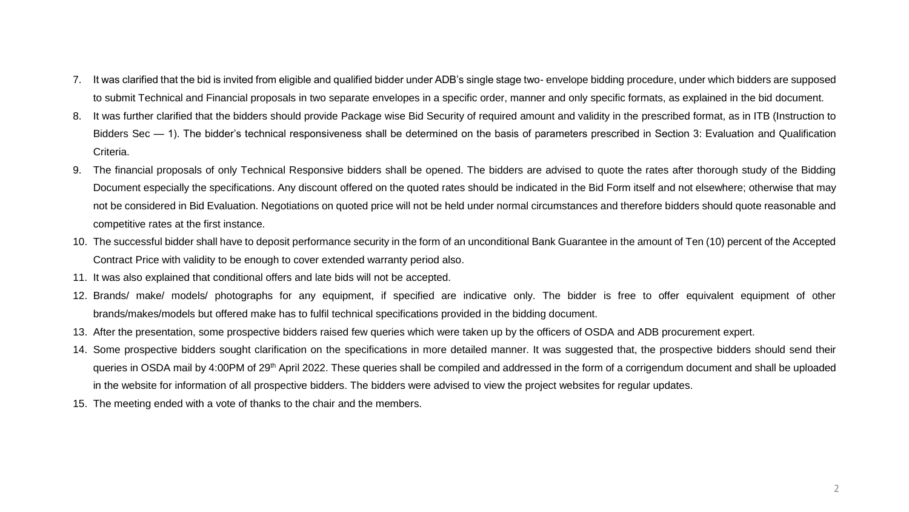- 7. It was clarified that the bid is invited from eligible and qualified bidder under ADB's single stage two- envelope bidding procedure, under which bidders are supposed to submit Technical and Financial proposals in two separate envelopes in a specific order, manner and only specific formats, as explained in the bid document.
- 8. It was further clarified that the bidders should provide Package wise Bid Security of required amount and validity in the prescribed format, as in ITB (Instruction to Bidders Sec — 1). The bidder's technical responsiveness shall be determined on the basis of parameters prescribed in Section 3: Evaluation and Qualification Criteria.
- 9. The financial proposals of only Technical Responsive bidders shall be opened. The bidders are advised to quote the rates after thorough study of the Bidding Document especially the specifications. Any discount offered on the quoted rates should be indicated in the Bid Form itself and not elsewhere; otherwise that may not be considered in Bid Evaluation. Negotiations on quoted price will not be held under normal circumstances and therefore bidders should quote reasonable and competitive rates at the first instance.
- 10. The successful bidder shall have to deposit performance security in the form of an unconditional Bank Guarantee in the amount of Ten (10) percent of the Accepted Contract Price with validity to be enough to cover extended warranty period also.
- 11. It was also explained that conditional offers and late bids will not be accepted.
- 12. Brands/ make/ models/ photographs for any equipment, if specified are indicative only. The bidder is free to offer equivalent equipment of other brands/makes/models but offered make has to fulfil technical specifications provided in the bidding document.
- 13. After the presentation, some prospective bidders raised few queries which were taken up by the officers of OSDA and ADB procurement expert.
- 14. Some prospective bidders sought clarification on the specifications in more detailed manner. It was suggested that, the prospective bidders should send their queries in OSDA mail by 4:00PM of 29<sup>th</sup> April 2022. These queries shall be compiled and addressed in the form of a corrigendum document and shall be uploaded in the website for information of all prospective bidders. The bidders were advised to view the project websites for regular updates.
- 15. The meeting ended with a vote of thanks to the chair and the members.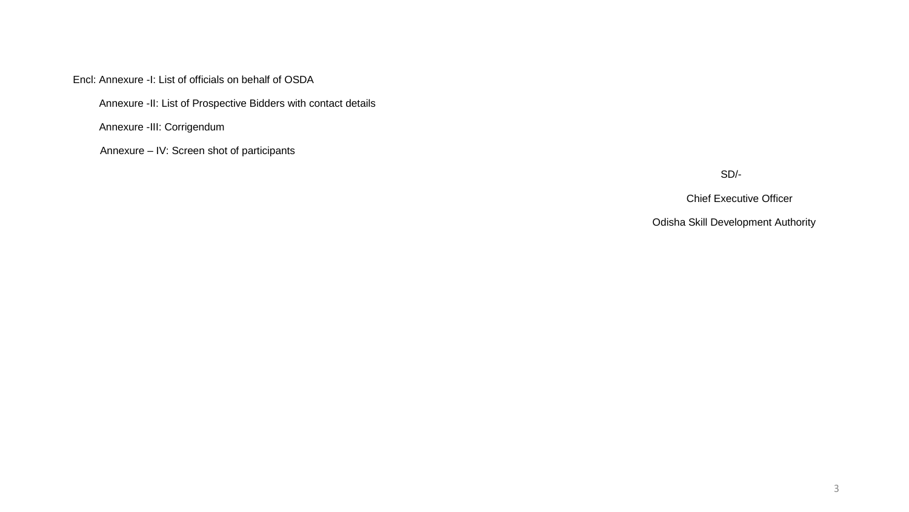Encl: Annexure -I: List of officials on behalf of OSDA

Annexure -II: List of Prospective Bidders with contact details

Annexure -III: Corrigendum

Annexure – IV: Screen shot of participants

SD/-

Chief Executive Officer

Odisha Skill Development Authority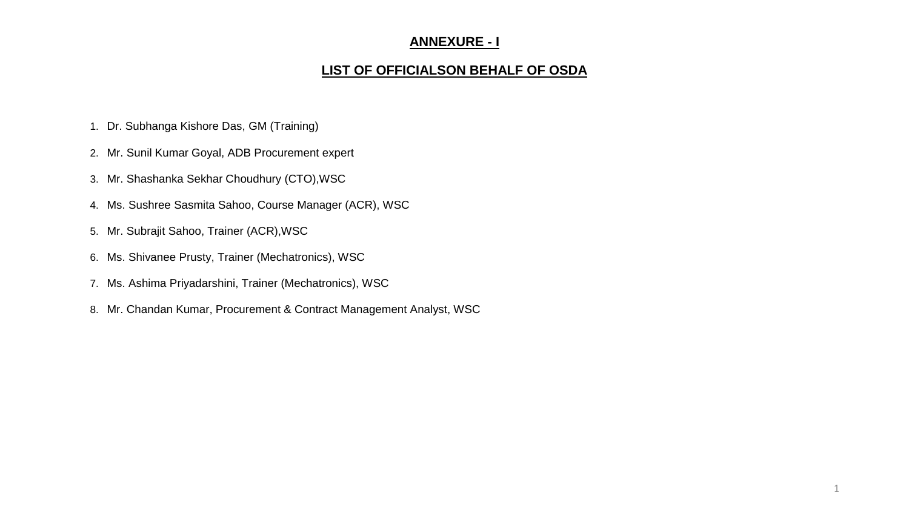### **ANNEXURE - I**

### **LIST OF OFFICIALSON BEHALF OF OSDA**

- 1. Dr. Subhanga Kishore Das, GM (Training)
- 2. Mr. Sunil Kumar Goyal, ADB Procurement expert
- 3. Mr. Shashanka Sekhar Choudhury (CTO),WSC
- 4. Ms. Sushree Sasmita Sahoo, Course Manager (ACR), WSC
- 5. Mr. Subrajit Sahoo, Trainer (ACR),WSC
- 6. Ms. Shivanee Prusty, Trainer (Mechatronics), WSC
- 7. Ms. Ashima Priyadarshini, Trainer (Mechatronics), WSC
- 8. Mr. Chandan Kumar, Procurement & Contract Management Analyst, WSC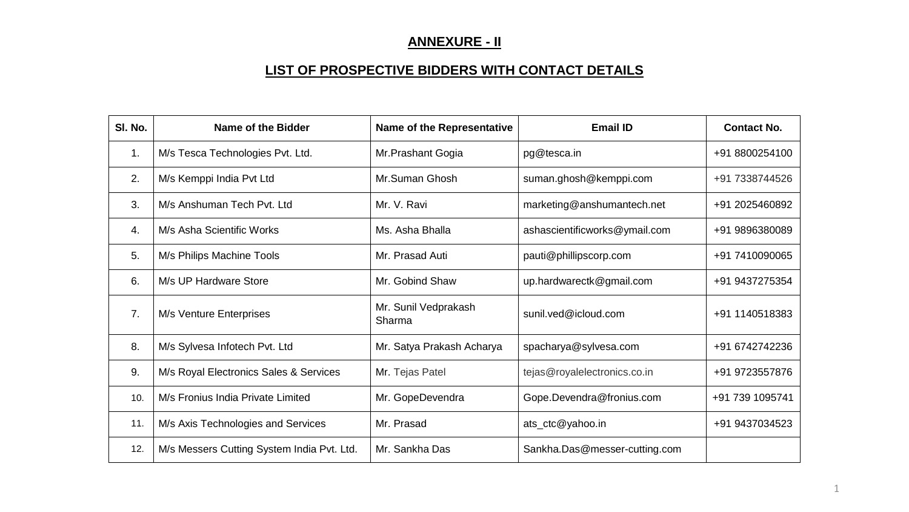# **ANNEXURE - II**

# **LIST OF PROSPECTIVE BIDDERS WITH CONTACT DETAILS**

| SI. No.        | <b>Name of the Bidder</b>                  | <b>Name of the Representative</b> | <b>Email ID</b>               | <b>Contact No.</b> |
|----------------|--------------------------------------------|-----------------------------------|-------------------------------|--------------------|
| 1.             | M/s Tesca Technologies Pvt. Ltd.           | Mr.Prashant Gogia                 | pg@tesca.in                   | +91 8800254100     |
| 2.             | M/s Kemppi India Pvt Ltd                   | Mr.Suman Ghosh                    | suman.ghosh@kemppi.com        | +91 7338744526     |
| 3.             | M/s Anshuman Tech Pyt. Ltd                 | Mr. V. Ravi                       | marketing@anshumantech.net    | +91 2025460892     |
| 4.             | M/s Asha Scientific Works                  | Ms. Asha Bhalla                   | ashascientificworks@ymail.com | +91 9896380089     |
| 5.             | M/s Philips Machine Tools                  | Mr. Prasad Auti                   | pauti@phillipscorp.com        | +91 7410090065     |
| 6.             | M/s UP Hardware Store                      | Mr. Gobind Shaw                   | up.hardwarectk@gmail.com      | +91 9437275354     |
| 7 <sub>1</sub> | M/s Venture Enterprises                    | Mr. Sunil Vedprakash<br>Sharma    | sunil.ved@icloud.com          | +91 1140518383     |
| 8.             | M/s Sylvesa Infotech Pvt. Ltd              | Mr. Satya Prakash Acharya         | spacharya@sylvesa.com         | +91 6742742236     |
| 9.             | M/s Royal Electronics Sales & Services     | Mr. Tejas Patel                   | tejas@royalelectronics.co.in  | +91 9723557876     |
| 10.            | M/s Fronius India Private Limited          | Mr. GopeDevendra                  | Gope.Devendra@fronius.com     | +91 739 1095741    |
| 11.            | M/s Axis Technologies and Services         | Mr. Prasad                        | ats_ctc@yahoo.in              | +91 9437034523     |
| 12.            | M/s Messers Cutting System India Pvt. Ltd. | Mr. Sankha Das                    | Sankha.Das@messer-cutting.com |                    |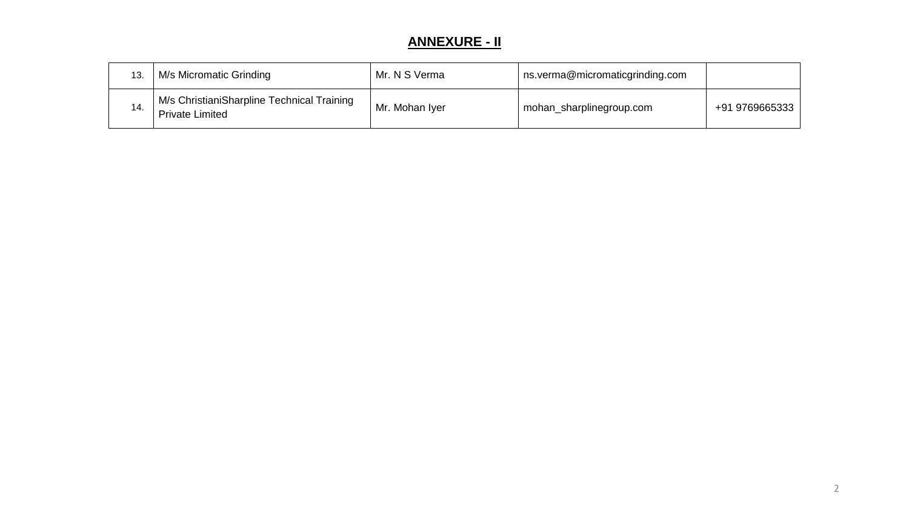# **ANNEXURE - II**

| 13. | M/s Micromatic Grinding                                              | Mr. N S Verma  | ns.verma@micromaticgrinding.com |                |
|-----|----------------------------------------------------------------------|----------------|---------------------------------|----------------|
| 14. | M/s ChristianiSharpline Technical Training<br><b>Private Limited</b> | Mr. Mohan Iyer | mohan_sharplinegroup.com        | +91 9769665333 |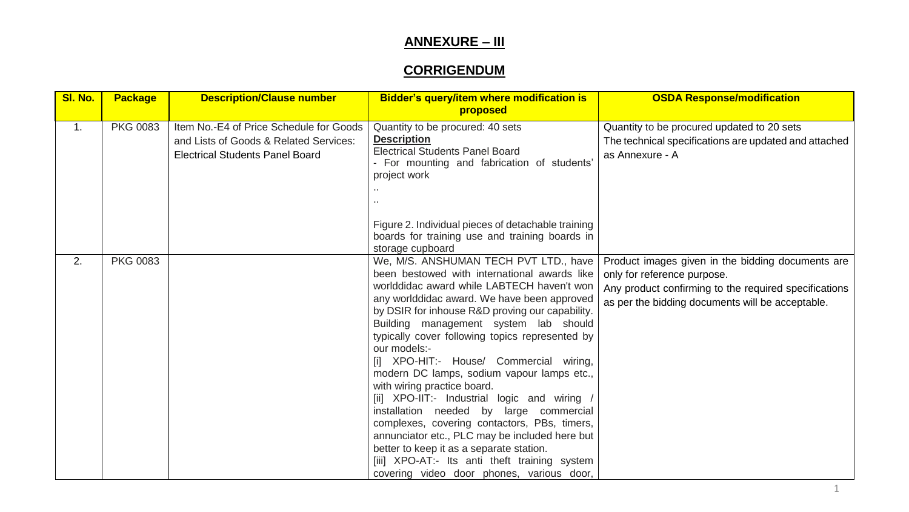## **CORRIGENDUM**

| SI. No. | <b>Package</b>  | <b>Description/Clause number</b>                                                                                            | Bidder's query/item where modification is<br>proposed                                                                                                                                                                                                                                                                                                                                                                                                                                                                                                                                                                                                                                                                                                                                                            | <b>OSDA Response/modification</b>                                                                                                                                                             |
|---------|-----------------|-----------------------------------------------------------------------------------------------------------------------------|------------------------------------------------------------------------------------------------------------------------------------------------------------------------------------------------------------------------------------------------------------------------------------------------------------------------------------------------------------------------------------------------------------------------------------------------------------------------------------------------------------------------------------------------------------------------------------------------------------------------------------------------------------------------------------------------------------------------------------------------------------------------------------------------------------------|-----------------------------------------------------------------------------------------------------------------------------------------------------------------------------------------------|
| 1.      | <b>PKG 0083</b> | Item No.-E4 of Price Schedule for Goods<br>and Lists of Goods & Related Services:<br><b>Electrical Students Panel Board</b> | Quantity to be procured: 40 sets<br><b>Description</b><br><b>Electrical Students Panel Board</b><br>- For mounting and fabrication of students'<br>project work                                                                                                                                                                                                                                                                                                                                                                                                                                                                                                                                                                                                                                                  | Quantity to be procured updated to 20 sets<br>The technical specifications are updated and attached<br>as Annexure - A                                                                        |
|         |                 |                                                                                                                             | Figure 2. Individual pieces of detachable training<br>boards for training use and training boards in<br>storage cupboard                                                                                                                                                                                                                                                                                                                                                                                                                                                                                                                                                                                                                                                                                         |                                                                                                                                                                                               |
| 2.      | <b>PKG 0083</b> |                                                                                                                             | We, M/S. ANSHUMAN TECH PVT LTD., have<br>been bestowed with international awards like<br>worlddidac award while LABTECH haven't won<br>any worlddidac award. We have been approved<br>by DSIR for inhouse R&D proving our capability.<br>Building management system lab should<br>typically cover following topics represented by<br>our models:-<br>[i] XPO-HIT:- House/ Commercial wiring,<br>modern DC lamps, sodium vapour lamps etc.,<br>with wiring practice board.<br>[ii] XPO-IIT:- Industrial logic and wiring /<br>installation needed by large commercial<br>complexes, covering contactors, PBs, timers,<br>annunciator etc., PLC may be included here but<br>better to keep it as a separate station.<br>[iii] XPO-AT:- Its anti theft training system<br>covering video door phones, various door, | Product images given in the bidding documents are<br>only for reference purpose.<br>Any product confirming to the required specifications<br>as per the bidding documents will be acceptable. |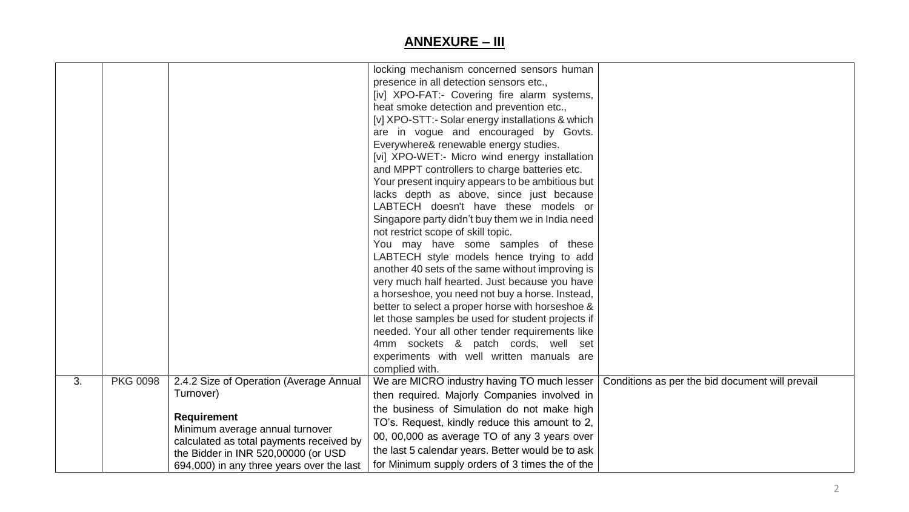|    |                 |                                                                                                                                                                                                                                               | locking mechanism concerned sensors human<br>presence in all detection sensors etc.,<br>[iv] XPO-FAT:- Covering fire alarm systems,<br>heat smoke detection and prevention etc.,<br>[v] XPO-STT:- Solar energy installations & which<br>are in vogue and encouraged by Govts.<br>Everywhere& renewable energy studies.<br>[vi] XPO-WET:- Micro wind energy installation<br>and MPPT controllers to charge batteries etc.<br>Your present inquiry appears to be ambitious but<br>lacks depth as above, since just because<br>LABTECH doesn't have these models or<br>Singapore party didn't buy them we in India need<br>not restrict scope of skill topic.<br>You may have some samples of these<br>LABTECH style models hence trying to add<br>another 40 sets of the same without improving is<br>very much half hearted. Just because you have<br>a horseshoe, you need not buy a horse. Instead,<br>better to select a proper horse with horseshoe &<br>let those samples be used for student projects if<br>needed. Your all other tender requirements like<br>4mm sockets & patch cords, well set<br>experiments with well written manuals are<br>complied with. |  |
|----|-----------------|-----------------------------------------------------------------------------------------------------------------------------------------------------------------------------------------------------------------------------------------------|------------------------------------------------------------------------------------------------------------------------------------------------------------------------------------------------------------------------------------------------------------------------------------------------------------------------------------------------------------------------------------------------------------------------------------------------------------------------------------------------------------------------------------------------------------------------------------------------------------------------------------------------------------------------------------------------------------------------------------------------------------------------------------------------------------------------------------------------------------------------------------------------------------------------------------------------------------------------------------------------------------------------------------------------------------------------------------------------------------------------------------------------------------------------|--|
| 3. | <b>PKG 0098</b> | 2.4.2 Size of Operation (Average Annual<br>Turnover)<br><b>Requirement</b><br>Minimum average annual turnover<br>calculated as total payments received by<br>the Bidder in INR 520,00000 (or USD<br>694,000) in any three years over the last | We are MICRO industry having TO much lesser   Conditions as per the bid document will prevail<br>then required. Majorly Companies involved in<br>the business of Simulation do not make high<br>TO's. Request, kindly reduce this amount to 2,<br>00, 00,000 as average TO of any 3 years over<br>the last 5 calendar years. Better would be to ask<br>for Minimum supply orders of 3 times the of the                                                                                                                                                                                                                                                                                                                                                                                                                                                                                                                                                                                                                                                                                                                                                                 |  |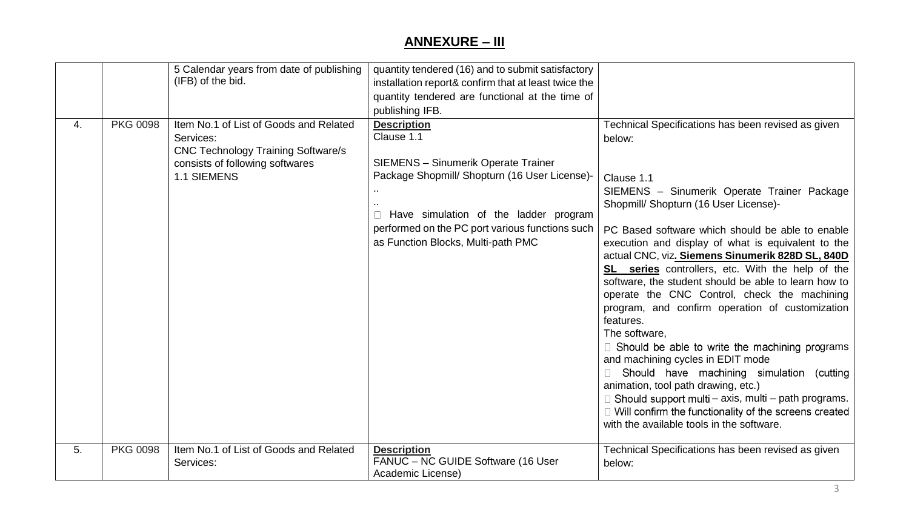|    |                 | 5 Calendar years from date of publishing<br>(IFB) of the bid.                                                                                      | quantity tendered (16) and to submit satisfactory<br>installation report& confirm that at least twice the<br>quantity tendered are functional at the time of<br>publishing IFB.                                                                                   |                                                                                                                                                                                                                                                                                                                                                                                                                                                                                                                                                                                                                                                                                                                                                                                                                                                                                                                                       |
|----|-----------------|----------------------------------------------------------------------------------------------------------------------------------------------------|-------------------------------------------------------------------------------------------------------------------------------------------------------------------------------------------------------------------------------------------------------------------|---------------------------------------------------------------------------------------------------------------------------------------------------------------------------------------------------------------------------------------------------------------------------------------------------------------------------------------------------------------------------------------------------------------------------------------------------------------------------------------------------------------------------------------------------------------------------------------------------------------------------------------------------------------------------------------------------------------------------------------------------------------------------------------------------------------------------------------------------------------------------------------------------------------------------------------|
| 4. | <b>PKG 0098</b> | Item No.1 of List of Goods and Related<br>Services:<br><b>CNC Technology Training Software/s</b><br>consists of following softwares<br>1.1 SIEMENS | <b>Description</b><br>Clause 1.1<br><b>SIEMENS - Sinumerik Operate Trainer</b><br>Package Shopmill/ Shopturn (16 User License)-<br>Have simulation of the ladder program<br>performed on the PC port various functions such<br>as Function Blocks, Multi-path PMC | Technical Specifications has been revised as given<br>below:<br>Clause 1.1<br>SIEMENS - Sinumerik Operate Trainer Package<br>Shopmill/ Shopturn (16 User License)-<br>PC Based software which should be able to enable<br>execution and display of what is equivalent to the<br>actual CNC, viz. Siemens Sinumerik 828D SL, 840D<br>SL series controllers, etc. With the help of the<br>software, the student should be able to learn how to<br>operate the CNC Control, check the machining<br>program, and confirm operation of customization<br>features.<br>The software,<br>$\Box$ Should be able to write the machining programs<br>and machining cycles in EDIT mode<br>Should have machining simulation (cutting<br>animation, tool path drawing, etc.)<br>$\Box$ Should support multi – axis, multi – path programs.<br>□ Will confirm the functionality of the screens created<br>with the available tools in the software. |
| 5. | <b>PKG 0098</b> | Item No.1 of List of Goods and Related<br>Services:                                                                                                | <b>Description</b><br>FANUC - NC GUIDE Software (16 User<br>Academic License)                                                                                                                                                                                     | Technical Specifications has been revised as given<br>below:                                                                                                                                                                                                                                                                                                                                                                                                                                                                                                                                                                                                                                                                                                                                                                                                                                                                          |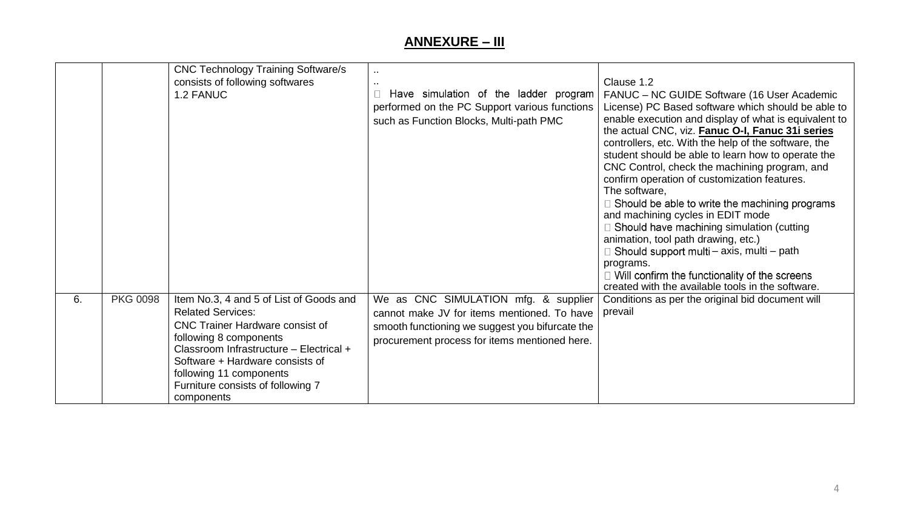|    |                 | <b>CNC Technology Training Software/s</b><br>consists of following softwares<br>1.2 FANUC                                                                                                                                                                                                           | Have simulation of the ladder program<br>performed on the PC Support various functions<br>such as Function Blocks, Multi-path PMC                                                       | Clause 1.2<br>FANUC – NC GUIDE Software (16 User Academic<br>License) PC Based software which should be able to<br>enable execution and display of what is equivalent to<br>the actual CNC, viz. Fanuc O-I, Fanuc 31i series<br>controllers, etc. With the help of the software, the<br>student should be able to learn how to operate the<br>CNC Control, check the machining program, and<br>confirm operation of customization features.<br>The software,<br>$\Box$ Should be able to write the machining programs<br>and machining cycles in EDIT mode<br>$\Box$ Should have machining simulation (cutting<br>animation, tool path drawing, etc.)<br>$\Box$ Should support multi – axis, multi – path |
|----|-----------------|-----------------------------------------------------------------------------------------------------------------------------------------------------------------------------------------------------------------------------------------------------------------------------------------------------|-----------------------------------------------------------------------------------------------------------------------------------------------------------------------------------------|-----------------------------------------------------------------------------------------------------------------------------------------------------------------------------------------------------------------------------------------------------------------------------------------------------------------------------------------------------------------------------------------------------------------------------------------------------------------------------------------------------------------------------------------------------------------------------------------------------------------------------------------------------------------------------------------------------------|
|    |                 |                                                                                                                                                                                                                                                                                                     |                                                                                                                                                                                         | programs.<br>$\Box$ Will confirm the functionality of the screens<br>created with the available tools in the software.                                                                                                                                                                                                                                                                                                                                                                                                                                                                                                                                                                                    |
| 6. | <b>PKG 0098</b> | Item No.3, 4 and 5 of List of Goods and<br><b>Related Services:</b><br><b>CNC Trainer Hardware consist of</b><br>following 8 components<br>Classroom Infrastructure - Electrical +<br>Software + Hardware consists of<br>following 11 components<br>Furniture consists of following 7<br>components | We as CNC SIMULATION mfg. & supplier<br>cannot make JV for items mentioned. To have<br>smooth functioning we suggest you bifurcate the<br>procurement process for items mentioned here. | Conditions as per the original bid document will<br>prevail                                                                                                                                                                                                                                                                                                                                                                                                                                                                                                                                                                                                                                               |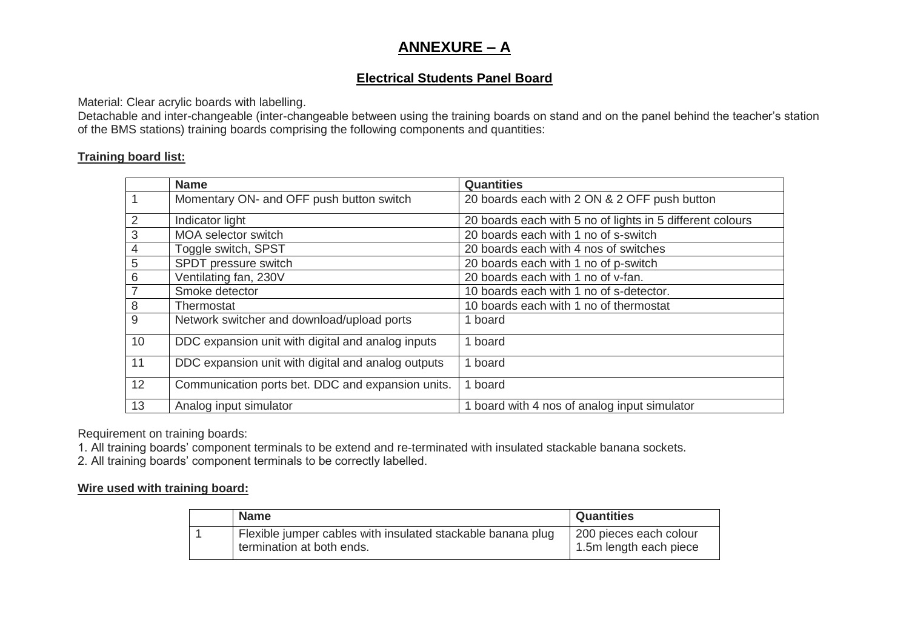#### **Electrical Students Panel Board**

Material: Clear acrylic boards with labelling.

Detachable and inter-changeable (inter-changeable between using the training boards on stand and on the panel behind the teacher's station of the BMS stations) training boards comprising the following components and quantities:

#### **Training board list:**

|                | <b>Name</b>                                        | <b>Quantities</b>                                         |
|----------------|----------------------------------------------------|-----------------------------------------------------------|
| $\mathbf{1}$   | Momentary ON- and OFF push button switch           | 20 boards each with 2 ON & 2 OFF push button              |
| 2              | Indicator light                                    | 20 boards each with 5 no of lights in 5 different colours |
| 3              | <b>MOA selector switch</b>                         | 20 boards each with 1 no of s-switch                      |
| $\overline{4}$ | Toggle switch, SPST                                | 20 boards each with 4 nos of switches                     |
| 5              | SPDT pressure switch                               | 20 boards each with 1 no of p-switch                      |
| 6              | Ventilating fan, 230V                              | 20 boards each with 1 no of v-fan.                        |
| $\overline{7}$ | Smoke detector                                     | 10 boards each with 1 no of s-detector.                   |
| 8              | Thermostat                                         | 10 boards each with 1 no of thermostat                    |
| 9              | Network switcher and download/upload ports         | 1 board                                                   |
| 10             | DDC expansion unit with digital and analog inputs  | 1 board                                                   |
| 11             | DDC expansion unit with digital and analog outputs | 1 board                                                   |
| 12             | Communication ports bet. DDC and expansion units.  | 1 board                                                   |
| 13             | Analog input simulator                             | 1 board with 4 nos of analog input simulator              |

Requirement on training boards:

1. All training boards' component terminals to be extend and re-terminated with insulated stackable banana sockets.

2. All training boards' component terminals to be correctly labelled.

#### **Wire used with training board:**

| <b>Name</b>                                                 | <b>Quantities</b>      |
|-------------------------------------------------------------|------------------------|
| Flexible jumper cables with insulated stackable banana plug | 200 pieces each colour |
| termination at both ends.                                   | 1.5m length each piece |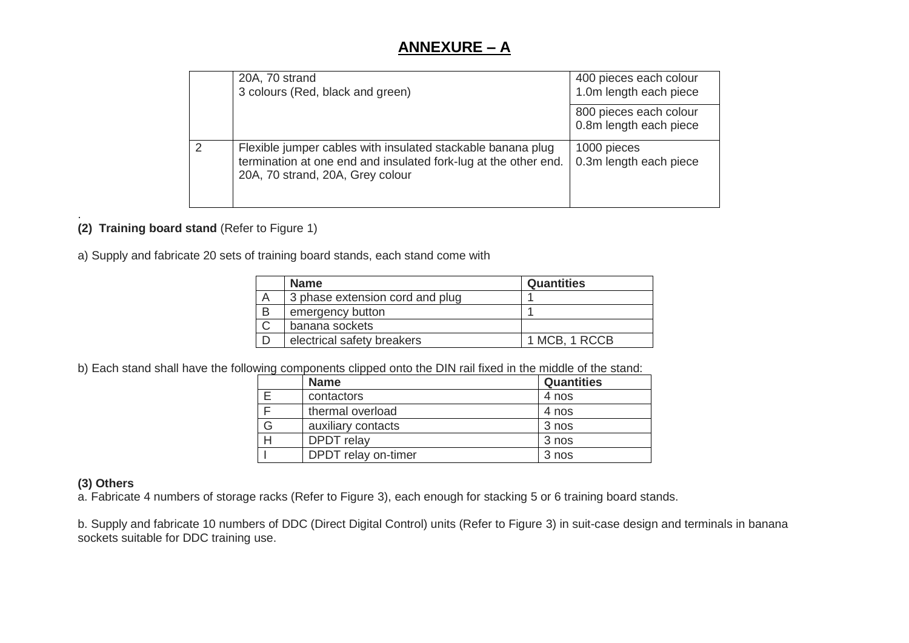|   | 20A, 70 strand<br>3 colours (Red, black and green)                                                                                                                 | 400 pieces each colour<br>1.0m length each piece |
|---|--------------------------------------------------------------------------------------------------------------------------------------------------------------------|--------------------------------------------------|
|   |                                                                                                                                                                    | 800 pieces each colour<br>0.8m length each piece |
| 2 | Flexible jumper cables with insulated stackable banana plug<br>termination at one end and insulated fork-lug at the other end.<br>20A, 70 strand, 20A, Grey colour | 1000 pieces<br>0.3m length each piece            |

#### . **(2) Training board stand** (Refer to Figure 1)

a) Supply and fabricate 20 sets of training board stands, each stand come with

|   | <b>Name</b>                     | <b>Quantities</b> |
|---|---------------------------------|-------------------|
|   | 3 phase extension cord and plug |                   |
| B | emergency button                |                   |
|   | banana sockets                  |                   |
|   | electrical safety breakers      | 1 MCB, 1 RCCB     |
|   |                                 |                   |

b) Each stand shall have the following components clipped onto the DIN rail fixed in the middle of the stand:

|   | <b>Name</b>         | <b>Quantities</b> |
|---|---------------------|-------------------|
|   | contactors          | 4 nos             |
|   | thermal overload    | 4 nos             |
| G | auxiliary contacts  | 3 nos             |
|   | <b>DPDT</b> relay   | 3 nos             |
|   | DPDT relay on-timer | 3 nos             |

#### **(3) Others**

a. Fabricate 4 numbers of storage racks (Refer to Figure 3), each enough for stacking 5 or 6 training board stands.

b. Supply and fabricate 10 numbers of DDC (Direct Digital Control) units (Refer to Figure 3) in suit-case design and terminals in banana sockets suitable for DDC training use.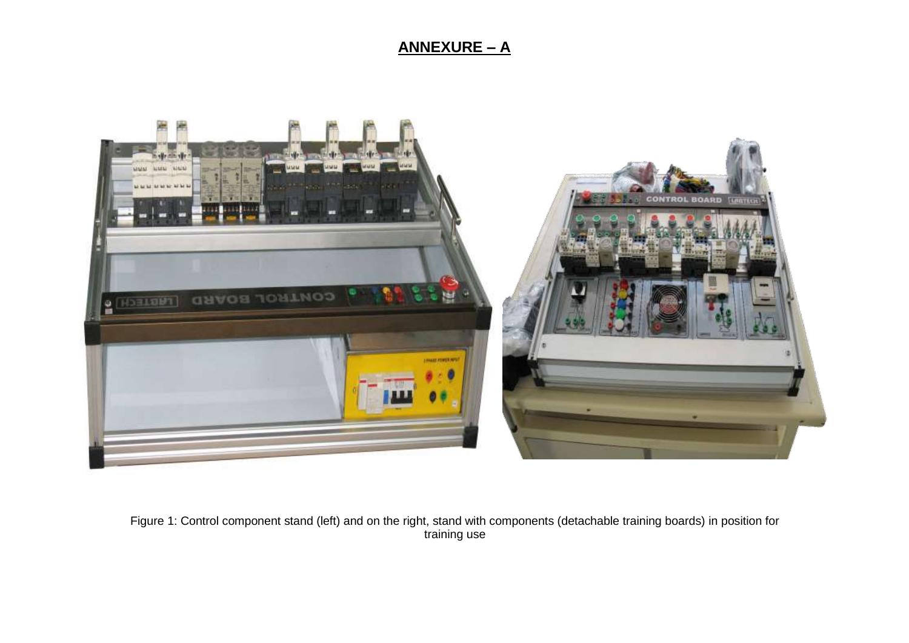

Figure 1: Control component stand (left) and on the right, stand with components (detachable training boards) in position for training use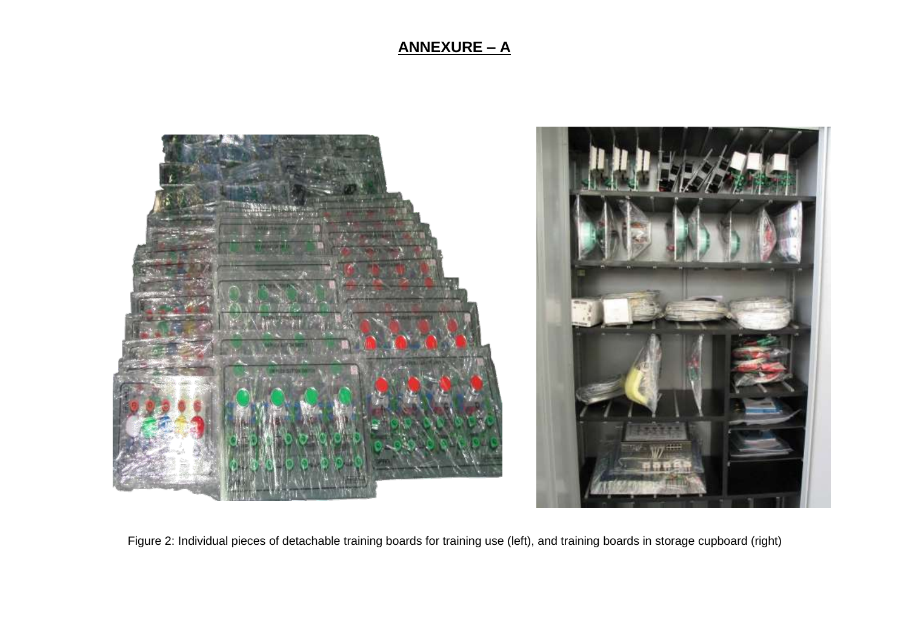

Figure 2: Individual pieces of detachable training boards for training use (left), and training boards in storage cupboard (right)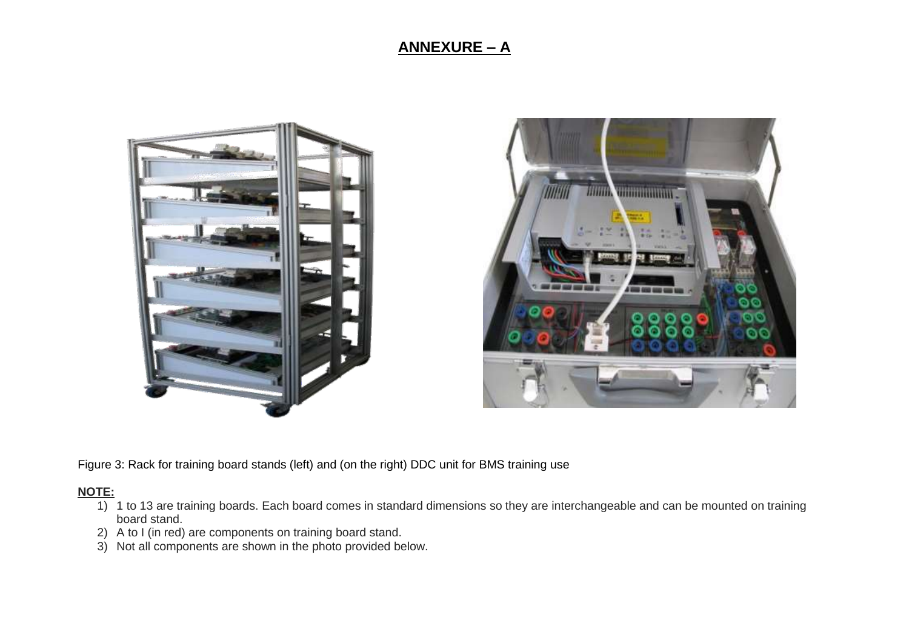



Figure 3: Rack for training board stands (left) and (on the right) DDC unit for BMS training use

#### **NOTE:**

- 1) 1 to 13 are training boards. Each board comes in standard dimensions so they are interchangeable and can be mounted on training board stand.
- 2) A to I (in red) are components on training board stand.
- 3) Not all components are shown in the photo provided below.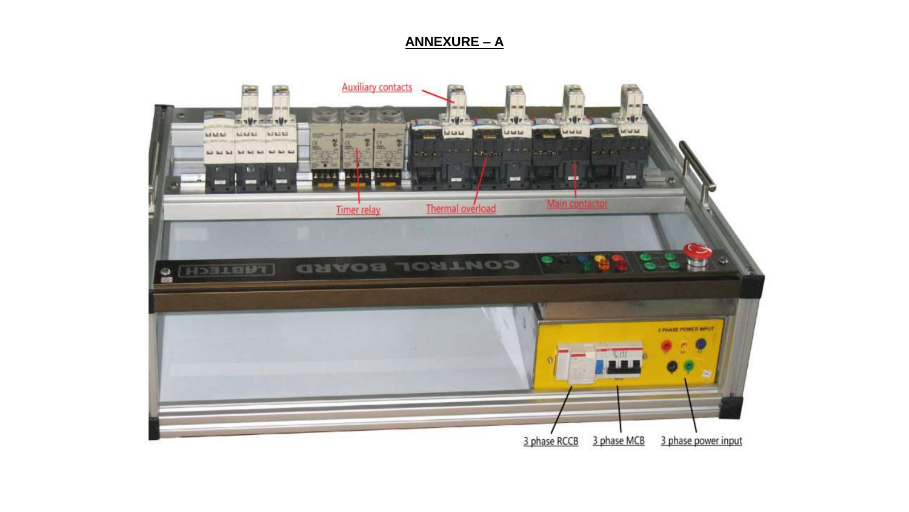